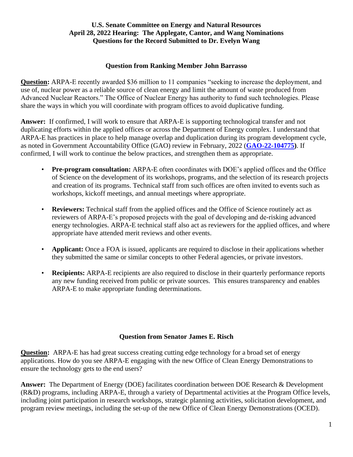#### **Question from Ranking Member John Barrasso**

**Question:** ARPA-E recently awarded \$36 million to 11 companies "seeking to increase the deployment, and use of, nuclear power as a reliable source of clean energy and limit the amount of waste produced from Advanced Nuclear Reactors." The Office of Nuclear Energy has authority to fund such technologies. Please share the ways in which you will coordinate with program offices to avoid duplicative funding.

**Answer:** If confirmed, I will work to ensure that ARPA-E is supporting technological transfer and not duplicating efforts within the applied offices or across the Department of Energy complex. I understand that ARPA-E has practices in place to help manage overlap and duplication during its program development cycle, as noted in Government Accountability Office (GAO) review in February, 2022 (**[GAO-22-104775\)](https://www.gao.gov/products/gao-22-104775)**. If confirmed, I will work to continue the below practices, and strengthen them as appropriate.

- **Pre-program consultation:** ARPA-E often coordinates with DOE's applied offices and the Office of Science on the development of its workshops, programs, and the selection of its research projects and creation of its programs. Technical staff from such offices are often invited to events such as workshops, kickoff meetings, and annual meetings where appropriate.
- **Reviewers:** Technical staff from the applied offices and the Office of Science routinely act as reviewers of ARPA-E's proposed projects with the goal of developing and de-risking advanced energy technologies. ARPA-E technical staff also act as reviewers for the applied offices, and where appropriate have attended merit reviews and other events.
- **Applicant:** Once a FOA is issued, applicants are required to disclose in their applications whether they submitted the same or similar concepts to other Federal agencies, or private investors.
- **Recipients:** ARPA-E recipients are also required to disclose in their quarterly performance reports any new funding received from public or private sources. This ensures transparency and enables ARPA-E to make appropriate funding determinations.

# **Question from Senator James E. Risch**

**Question:** ARPA-E has had great success creating cutting edge technology for a broad set of energy applications. How do you see ARPA-E engaging with the new Office of Clean Energy Demonstrations to ensure the technology gets to the end users?

**Answer:** The Department of Energy (DOE) facilitates coordination between DOE Research & Development (R&D) programs, including ARPA-E, through a variety of Departmental activities at the Program Office levels, including joint participation in research workshops, strategic planning activities, solicitation development, and program review meetings, including the set-up of the new Office of Clean Energy Demonstrations (OCED).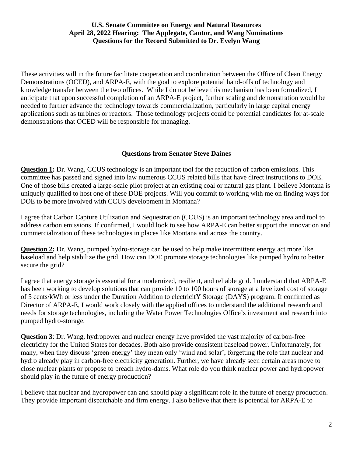These activities will in the future facilitate cooperation and coordination between the Office of Clean Energy Demonstrations (OCED), and ARPA-E, with the goal to explore potential hand-offs of technology and knowledge transfer between the two offices. While I do not believe this mechanism has been formalized, I anticipate that upon successful completion of an ARPA-E project, further scaling and demonstration would be needed to further advance the technology towards commercialization, particularly in large capital energy applications such as turbines or reactors. Those technology projects could be potential candidates for at-scale demonstrations that OCED will be responsible for managing.

#### **Questions from Senator Steve Daines**

**Question 1:** Dr. Wang, CCUS technology is an important tool for the reduction of carbon emissions. This committee has passed and signed into law numerous CCUS related bills that have direct instructions to DOE. One of those bills created a large-scale pilot project at an existing coal or natural gas plant. I believe Montana is uniquely qualified to host one of these DOE projects. Will you commit to working with me on finding ways for DOE to be more involved with CCUS development in Montana?

I agree that Carbon Capture Utilization and Sequestration (CCUS) is an important technology area and tool to address carbon emissions. If confirmed, I would look to see how ARPA-E can better support the innovation and commercialization of these technologies in places like Montana and across the country.

**Question 2:** Dr. Wang, pumped hydro-storage can be used to help make intermittent energy act more like baseload and help stabilize the grid. How can DOE promote storage technologies like pumped hydro to better secure the grid?

I agree that energy storage is essential for a modernized, resilient, and reliable grid. I understand that ARPA-E has been working to develop solutions that can provide 10 to 100 hours of storage at a levelized cost of storage of 5 cents/kWh or less under the Duration Addition to electricitY Storage (DAYS) program. If confirmed as Director of ARPA-E, I would work closely with the applied offices to understand the additional research and needs for storage technologies, including the Water Power Technologies Office's investment and research into pumped hydro-storage.

**Question 3**: Dr. Wang, hydropower and nuclear energy have provided the vast majority of carbon-free electricity for the United States for decades. Both also provide consistent baseload power. Unfortunately, for many, when they discuss 'green-energy' they mean only 'wind and solar', forgetting the role that nuclear and hydro already play in carbon-free electricity generation. Further, we have already seen certain areas move to close nuclear plants or propose to breach hydro-dams. What role do you think nuclear power and hydropower should play in the future of energy production?

I believe that nuclear and hydropower can and should play a significant role in the future of energy production. They provide important dispatchable and firm energy. I also believe that there is potential for ARPA-E to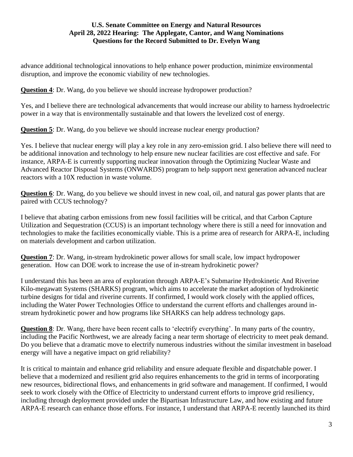advance additional technological innovations to help enhance power production, minimize environmental disruption, and improve the economic viability of new technologies.

**Question 4**: Dr. Wang, do you believe we should increase hydropower production?

Yes, and I believe there are technological advancements that would increase our ability to harness hydroelectric power in a way that is environmentally sustainable and that lowers the levelized cost of energy.

**Question 5**: Dr. Wang, do you believe we should increase nuclear energy production?

Yes. I believe that nuclear energy will play a key role in any zero-emission grid. I also believe there will need to be additional innovation and technology to help ensure new nuclear facilities are cost effective and safe. For instance, ARPA-E is currently supporting nuclear innovation through the Optimizing Nuclear Waste and Advanced Reactor Disposal Systems (ONWARDS) program to help support next generation advanced nuclear reactors with a 10X reduction in waste volume.

**Question 6**: Dr. Wang, do you believe we should invest in new coal, oil, and natural gas power plants that are paired with CCUS technology?

I believe that abating carbon emissions from new fossil facilities will be critical, and that Carbon Capture Utilization and Sequestration (CCUS) is an important technology where there is still a need for innovation and technologies to make the facilities economically viable. This is a prime area of research for ARPA-E, including on materials development and carbon utilization.

**Question 7**: Dr. Wang, in-stream hydrokinetic power allows for small scale, low impact hydropower generation. How can DOE work to increase the use of in-stream hydrokinetic power?

I understand this has been an area of exploration through ARPA-E's Submarine Hydrokinetic And Riverine Kilo-megawatt Systems (SHARKS) program, which aims to accelerate the market adoption of hydrokinetic turbine designs for tidal and riverine currents. If confirmed, I would work closely with the applied offices, including the Water Power Technologies Office to understand the current efforts and challenges around instream hydrokinetic power and how programs like SHARKS can help address technology gaps.

**Question 8**: Dr. Wang, there have been recent calls to 'electrify everything'. In many parts of the country, including the Pacific Northwest, we are already facing a near term shortage of electricity to meet peak demand. Do you believe that a dramatic move to electrify numerous industries without the similar investment in baseload energy will have a negative impact on grid reliability?

It is critical to maintain and enhance grid reliability and ensure adequate flexible and dispatchable power. I believe that a modernized and resilient grid also requires enhancements to the grid in terms of incorporating new resources, bidirectional flows, and enhancements in grid software and management. If confirmed, I would seek to work closely with the Office of Electricity to understand current efforts to improve grid resiliency, including through deployment provided under the Bipartisan Infrastructure Law, and how existing and future ARPA-E research can enhance those efforts. For instance, I understand that ARPA-E recently launched its third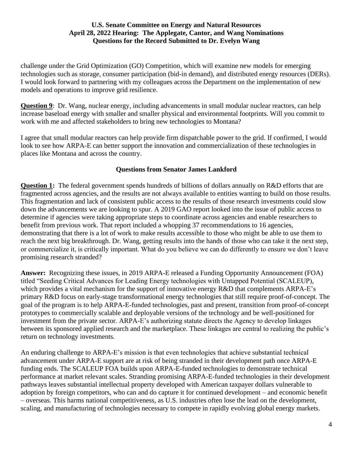challenge under the Grid Optimization (GO) Competition, which will examine new models for emerging technologies such as storage, consumer participation (bid-in demand), and distributed energy resources (DERs). I would look forward to partnering with my colleagues across the Department on the implementation of new models and operations to improve grid resilience.

**Question 9**: Dr. Wang, nuclear energy, including advancements in small modular nuclear reactors, can help increase baseload energy with smaller and smaller physical and environmental footprints. Will you commit to work with me and affected stakeholders to bring new technologies to Montana?

I agree that small modular reactors can help provide firm dispatchable power to the grid. If confirmed, I would look to see how ARPA-E can better support the innovation and commercialization of these technologies in places like Montana and across the country.

# **Questions from Senator James Lankford**

**Question 1:** The federal government spends hundreds of billions of dollars annually on R&D efforts that are fragmented across agencies, and the results are not always available to entities wanting to build on those results. This fragmentation and lack of consistent public access to the results of those research investments could slow down the advancements we are looking to spur. A 2019 GAO report looked into the issue of public access to determine if agencies were taking appropriate steps to coordinate across agencies and enable researchers to benefit from previous work. That report included a whopping 37 recommendations to 16 agencies, demonstrating that there is a lot of work to make results accessible to those who might be able to use them to reach the next big breakthrough. Dr. Wang, getting results into the hands of those who can take it the next step, or commercialize it, is critically important. What do you believe we can do differently to ensure we don't leave promising research stranded?

**Answer:** Recognizing these issues, in 2019 ARPA-E released a Funding Opportunity Announcement (FOA) titled "Seeding Critical Advances for Leading Energy technologies with Untapped Potential (SCALEUP), which provides a vital mechanism for the support of innovative energy R&D that complements ARPA-E's primary R&D focus on early-stage transformational energy technologies that still require proof-of-concept. The goal of the program is to help ARPA-E-funded technologies, past and present, transition from proof-of-concept prototypes to commercially scalable and deployable versions of the technology and be well-positioned for investment from the private sector. ARPA-E's authorizing statute directs the Agency to develop linkages between its sponsored applied research and the marketplace. These linkages are central to realizing the public's return on technology investments.

An enduring challenge to ARPA-E's mission is that even technologies that achieve substantial technical advancement under ARPA-E support are at risk of being stranded in their development path once ARPA-E funding ends. The SCALEUP FOA builds upon ARPA-E-funded technologies to demonstrate technical performance at market relevant scales. Stranding promising ARPA-E-funded technologies in their development pathways leaves substantial intellectual property developed with American taxpayer dollars vulnerable to adoption by foreign competitors, who can and do capture it for continued development – and economic benefit – overseas. This harms national competitiveness, as U.S. industries often lose the lead on the development, scaling, and manufacturing of technologies necessary to compete in rapidly evolving global energy markets.